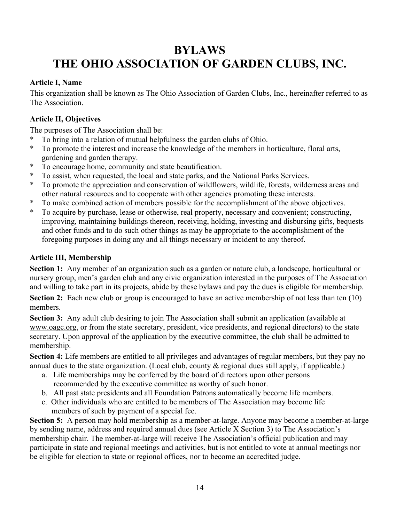# **BYLAWS THE OHIO ASSOCIATION OF GARDEN CLUBS, INC.**

## **Article I, Name**

This organization shall be known as The Ohio Association of Garden Clubs, Inc., hereinafter referred to as The Association.

# **Article II, Objectives**

The purposes of The Association shall be:

- \* To bring into a relation of mutual helpfulness the garden clubs of Ohio.
- \* To promote the interest and increase the knowledge of the members in horticulture, floral arts, gardening and garden therapy.
- \* To encourage home, community and state beautification.
- \* To assist, when requested, the local and state parks, and the National Parks Services.
- \* To promote the appreciation and conservation of wildflowers, wildlife, forests, wilderness areas and other natural resources and to cooperate with other agencies promoting these interests.
- \* To make combined action of members possible for the accomplishment of the above objectives.
- \* To acquire by purchase, lease or otherwise, real property, necessary and convenient; constructing, improving, maintaining buildings thereon, receiving, holding, investing and disbursing gifts, bequests and other funds and to do such other things as may be appropriate to the accomplishment of the foregoing purposes in doing any and all things necessary or incident to any thereof.

# **Article III, Membership**

**Section 1:** Any member of an organization such as a garden or nature club, a landscape, horticultural or nursery group, men's garden club and any civic organization interested in the purposes of The Association and willing to take part in its projects, abide by these bylaws and pay the dues is eligible for membership.

**Section 2:** Each new club or group is encouraged to have an active membership of not less than ten (10) members.

**Section 3:** Any adult club desiring to join The Association shall submit an application (available at www.oagc.org, or from the state secretary, president, vice presidents, and regional directors) to the state secretary. Upon approval of the application by the executive committee, the club shall be admitted to membership.

**Section 4:** Life members are entitled to all privileges and advantages of regular members, but they pay no annual dues to the state organization. (Local club, county  $\&$  regional dues still apply, if applicable.)

- a. Life memberships may be conferred by the board of directors upon other persons recommended by the executive committee as worthy of such honor.
- b. All past state presidents and all Foundation Patrons automatically become life members.
- c. Other individuals who are entitled to be members of The Association may become life members of such by payment of a special fee.

**Section 5:** A person may hold membership as a member-at-large. Anyone may become a member-at-large by sending name, address and required annual dues (see Article X Section 3) to The Association's membership chair. The member-at-large will receive The Association's official publication and may participate in state and regional meetings and activities, but is not entitled to vote at annual meetings nor be eligible for election to state or regional offices, nor to become an accredited judge.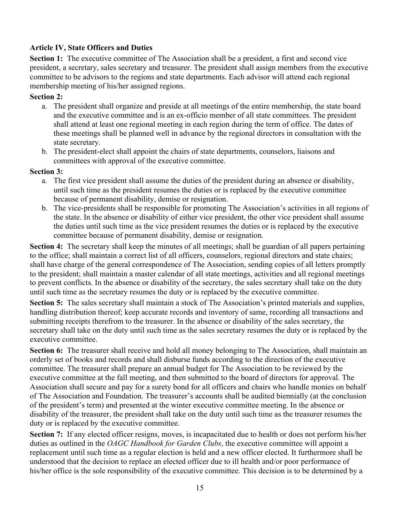## **Article IV, State Officers and Duties**

**Section 1:** The executive committee of The Association shall be a president, a first and second vice president, a secretary, sales secretary and treasurer. The president shall assign members from the executive committee to be advisors to the regions and state departments. Each advisor will attend each regional membership meeting of his/her assigned regions.

## **Section 2:**

- a. The president shall organize and preside at all meetings of the entire membership, the state board and the executive committee and is an ex-officio member of all state committees. The president shall attend at least one regional meeting in each region during the term of office. The dates of these meetings shall be planned well in advance by the regional directors in consultation with the state secretary.
- b. The president-elect shall appoint the chairs of state departments, counselors, liaisons and committees with approval of the executive committee.

## **Section 3:**

- a. The first vice president shall assume the duties of the president during an absence or disability, until such time as the president resumes the duties or is replaced by the executive committee because of permanent disability, demise or resignation.
- b. The vice-presidents shall be responsible for promoting The Association's activities in all regions of the state. In the absence or disability of either vice president, the other vice president shall assume the duties until such time as the vice president resumes the duties or is replaced by the executive committee because of permanent disability, demise or resignation.

**Section 4:** The secretary shall keep the minutes of all meetings; shall be guardian of all papers pertaining to the office; shall maintain a correct list of all officers, counselors, regional directors and state chairs; shall have charge of the general correspondence of The Association, sending copies of all letters promptly to the president; shall maintain a master calendar of all state meetings, activities and all regional meetings to prevent conflicts. In the absence or disability of the secretary, the sales secretary shall take on the duty until such time as the secretary resumes the duty or is replaced by the executive committee.

**Section 5:** The sales secretary shall maintain a stock of The Association's printed materials and supplies, handling distribution thereof; keep accurate records and inventory of same, recording all transactions and submitting receipts therefrom to the treasurer. In the absence or disability of the sales secretary, the secretary shall take on the duty until such time as the sales secretary resumes the duty or is replaced by the executive committee.

**Section 6:** The treasurer shall receive and hold all money belonging to The Association, shall maintain an orderly set of books and records and shall disburse funds according to the direction of the executive committee. The treasurer shall prepare an annual budget for The Association to be reviewed by the executive committee at the fall meeting, and then submitted to the board of directors for approval. The Association shall secure and pay for a surety bond for all officers and chairs who handle monies on behalf of The Association and Foundation. The treasurer's accounts shall be audited biennially (at the conclusion of the president's term) and presented at the winter executive committee meeting. In the absence or disability of the treasurer, the president shall take on the duty until such time as the treasurer resumes the duty or is replaced by the executive committee.

**Section 7:** If any elected officer resigns, moves, is incapacitated due to health or does not perform his/her duties as outlined in the *OAGC Handbook for Garden Clubs*, the executive committee will appoint a replacement until such time as a regular election is held and a new officer elected. It furthermore shall be understood that the decision to replace an elected officer due to ill health and/or poor performance of his/her office is the sole responsibility of the executive committee. This decision is to be determined by a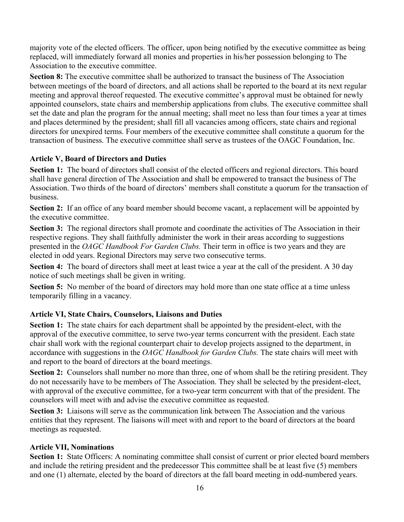majority vote of the elected officers. The officer, upon being notified by the executive committee as being replaced, will immediately forward all monies and properties in his/her possession belonging to The Association to the executive committee.

**Section 8:** The executive committee shall be authorized to transact the business of The Association between meetings of the board of directors, and all actions shall be reported to the board at its next regular meeting and approval thereof requested. The executive committee's approval must be obtained for newly appointed counselors, state chairs and membership applications from clubs. The executive committee shall set the date and plan the program for the annual meeting; shall meet no less than four times a year at times and places determined by the president; shall fill all vacancies among officers, state chairs and regional directors for unexpired terms. Four members of the executive committee shall constitute a quorum for the transaction of business. The executive committee shall serve as trustees of the OAGC Foundation, Inc.

# **Article V, Board of Directors and Duties**

**Section 1:** The board of directors shall consist of the elected officers and regional directors. This board shall have general direction of The Association and shall be empowered to transact the business of The Association. Two thirds of the board of directors' members shall constitute a quorum for the transaction of business.

**Section 2:** If an office of any board member should become vacant, a replacement will be appointed by the executive committee.

**Section 3:** The regional directors shall promote and coordinate the activities of The Association in their respective regions. They shall faithfully administer the work in their areas according to suggestions presented in the *OAGC Handbook For Garden Clubs.* Their term in office is two years and they are elected in odd years. Regional Directors may serve two consecutive terms.

**Section 4:** The board of directors shall meet at least twice a year at the call of the president. A 30 day notice of such meetings shall be given in writing.

**Section 5:** No member of the board of directors may hold more than one state office at a time unless temporarily filling in a vacancy.

# **Article VI, State Chairs, Counselors, Liaisons and Duties**

**Section 1:** The state chairs for each department shall be appointed by the president-elect, with the approval of the executive committee, to serve two-year terms concurrent with the president. Each state chair shall work with the regional counterpart chair to develop projects assigned to the department, in accordance with suggestions in the *OAGC Handbook for Garden Clubs.* The state chairs will meet with and report to the board of directors at the board meetings.

**Section 2:** Counselors shall number no more than three, one of whom shall be the retiring president. They do not necessarily have to be members of The Association. They shall be selected by the president-elect, with approval of the executive committee, for a two-year term concurrent with that of the president. The counselors will meet with and advise the executive committee as requested.

**Section 3:** Liaisons will serve as the communication link between The Association and the various entities that they represent. The liaisons will meet with and report to the board of directors at the board meetings as requested.

# **Article VII, Nominations**

**Section 1:** State Officers: A nominating committee shall consist of current or prior elected board members and include the retiring president and the predecessor This committee shall be at least five (5) members and one (1) alternate, elected by the board of directors at the fall board meeting in odd-numbered years.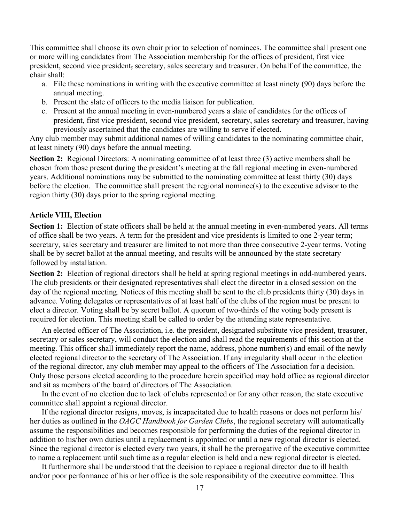This committee shall choose its own chair prior to selection of nominees. The committee shall present one or more willing candidates from The Association membership for the offices of president, first vice president, second vice president, secretary, sales secretary and treasurer. On behalf of the committee, the chair shall:

- a. File these nominations in writing with the executive committee at least ninety (90) days before the annual meeting.
- b. Present the slate of officers to the media liaison for publication.
- c. Present at the annual meeting in even-numbered years a slate of candidates for the offices of president, first vice president, second vice president, secretary, sales secretary and treasurer, having previously ascertained that the candidates are willing to serve if elected.

Any club member may submit additional names of willing candidates to the nominating committee chair, at least ninety (90) days before the annual meeting.

**Section 2:** Regional Directors: A nominating committee of at least three (3) active members shall be chosen from those present during the president's meeting at the fall regional meeting in even-numbered years. Additional nominations may be submitted to the nominating committee at least thirty (30) days before the election. The committee shall present the regional nominee(s) to the executive advisor to the region thirty (30) days prior to the spring regional meeting.

#### **Article VIII, Election**

**Section 1:** Election of state officers shall be held at the annual meeting in even-numbered years. All terms of office shall be two years. A term for the president and vice presidents is limited to one 2-year term; secretary, sales secretary and treasurer are limited to not more than three consecutive 2-year terms. Voting shall be by secret ballot at the annual meeting, and results will be announced by the state secretary followed by installation.

**Section 2:** Election of regional directors shall be held at spring regional meetings in odd-numbered years. The club presidents or their designated representatives shall elect the director in a closed session on the day of the regional meeting. Notices of this meeting shall be sent to the club presidents thirty (30) days in advance. Voting delegates or representatives of at least half of the clubs of the region must be present to elect a director. Voting shall be by secret ballot. A quorum of two-thirds of the voting body present is required for election. This meeting shall be called to order by the attending state representative.

An elected officer of The Association, i.e. the president, designated substitute vice president, treasurer, secretary or sales secretary, will conduct the election and shall read the requirements of this section at the meeting. This officer shall immediately report the name, address, phone number(s) and email of the newly elected regional director to the secretary of The Association. If any irregularity shall occur in the election of the regional director, any club member may appeal to the officers of The Association for a decision. Only those persons elected according to the procedure herein specified may hold office as regional director and sit as members of the board of directors of The Association.

In the event of no election due to lack of clubs represented or for any other reason, the state executive committee shall appoint a regional director.

If the regional director resigns, moves, is incapacitated due to health reasons or does not perform his/ her duties as outlined in the *OAGC Handbook for Garden Clubs*, the regional secretary will automatically assume the responsibilities and becomes responsible for performing the duties of the regional director in addition to his/her own duties until a replacement is appointed or until a new regional director is elected. Since the regional director is elected every two years, it shall be the prerogative of the executive committee to name a replacement until such time as a regular election is held and a new regional director is elected.

It furthermore shall be understood that the decision to replace a regional director due to ill health and/or poor performance of his or her office is the sole responsibility of the executive committee. This